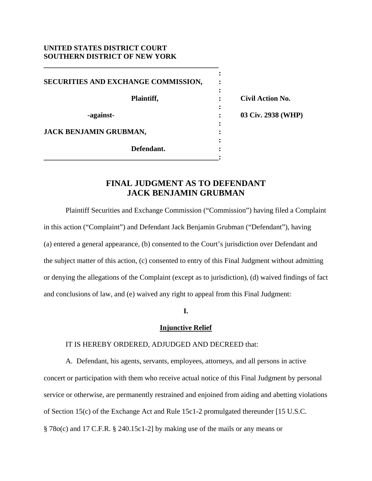### **UNITED STATES DISTRICT COURT SOUTHERN DISTRICT OF NEW YORK**

**\_\_\_\_\_\_\_\_\_\_\_\_\_\_\_\_\_\_\_\_\_\_\_\_\_\_\_\_\_\_\_\_\_\_\_\_\_\_\_\_\_\_\_\_\_\_\_\_** 

*x*  $\mathbf{r}$  :  $\mathbf{r}$   $\mathbf{r}$   $\mathbf{r}$   $\mathbf{r}$   $\mathbf{r}$   $\mathbf{r}$   $\mathbf{r}$   $\mathbf{r}$   $\mathbf{r}$   $\mathbf{r}$   $\mathbf{r}$   $\mathbf{r}$   $\mathbf{r}$   $\mathbf{r}$   $\mathbf{r}$   $\mathbf{r}$   $\mathbf{r}$   $\mathbf{r}$   $\mathbf{r}$   $\mathbf{r}$   $\mathbf{r}$   $\mathbf{r}$   $\mathbf{r}$ **SECURITIES AND EXCHANGE COMMISSION, :**  *x*  $\mathbf{r}$  :  $\mathbf{r}$   $\mathbf{r}$   $\mathbf{r}$   $\mathbf{r}$   $\mathbf{r}$   $\mathbf{r}$   $\mathbf{r}$   $\mathbf{r}$   $\mathbf{r}$   $\mathbf{r}$   $\mathbf{r}$   $\mathbf{r}$   $\mathbf{r}$   $\mathbf{r}$   $\mathbf{r}$   $\mathbf{r}$   $\mathbf{r}$   $\mathbf{r}$   $\mathbf{r}$   $\mathbf{r}$   $\mathbf{r}$   $\mathbf{r}$   $\mathbf{r}$  **Plaintiff, : Civil Action No.**  *x*  $\mathbf{r}$  :  $\mathbf{r}$   $\mathbf{r}$   $\mathbf{r}$   $\mathbf{r}$   $\mathbf{r}$   $\mathbf{r}$   $\mathbf{r}$   $\mathbf{r}$   $\mathbf{r}$   $\mathbf{r}$   $\mathbf{r}$   $\mathbf{r}$   $\mathbf{r}$   $\mathbf{r}$   $\mathbf{r}$   $\mathbf{r}$   $\mathbf{r}$   $\mathbf{r}$   $\mathbf{r}$   $\mathbf{r}$   $\mathbf{r}$   $\mathbf{r}$   $\mathbf{r}$  **-against- : 03 Civ. 2938 (WHP)**  *x*  $\mathbf{r}$  :  $\mathbf{r}$   $\mathbf{r}$   $\mathbf{r}$   $\mathbf{r}$   $\mathbf{r}$   $\mathbf{r}$   $\mathbf{r}$   $\mathbf{r}$   $\mathbf{r}$   $\mathbf{r}$   $\mathbf{r}$   $\mathbf{r}$   $\mathbf{r}$   $\mathbf{r}$   $\mathbf{r}$   $\mathbf{r}$   $\mathbf{r}$   $\mathbf{r}$   $\mathbf{r}$   $\mathbf{r}$   $\mathbf{r}$   $\mathbf{r}$   $\mathbf{r}$ **JACK BENJAMIN GRUBMAN, :**  *x*  $\mathbf{r}$  :  $\mathbf{r}$  is the set of  $\mathbf{r}$  is the set of  $\mathbf{r}$  is the set of  $\mathbf{r}$  is the set of  $\mathbf{r}$  **Defendant. : \_\_\_\_\_\_\_\_\_\_\_\_\_\_\_\_\_\_\_\_\_\_\_\_\_\_\_\_\_\_\_\_\_\_\_\_\_\_\_\_\_\_\_\_\_\_\_\_:**

# **FINAL JUDGMENT AS TO DEFENDANT JACK BENJAMIN GRUBMAN**

 Plaintiff Securities and Exchange Commission ("Commission") having filed a Complaint in this action ("Complaint") and Defendant Jack Benjamin Grubman ("Defendant"), having (a) entered a general appearance, (b) consented to the Court's jurisdiction over Defendant and the subject matter of this action, (c) consented to entry of this Final Judgment without admitting or denying the allegations of the Complaint (except as to jurisdiction), (d) waived findings of fact and conclusions of law, and (e) waived any right to appeal from this Final Judgment:

**I.** 

# **Injunctive Relief**

# IT IS HEREBY ORDERED, ADJUDGED AND DECREED that:

A. Defendant, his agents, servants, employees, attorneys, and all persons in active concert or participation with them who receive actual notice of this Final Judgment by personal service or otherwise, are permanently restrained and enjoined from aiding and abetting violations of Section 15(c) of the Exchange Act and Rule 15c1-2 promulgated thereunder [15 U.S.C. § 78o(c) and 17 C.F.R. § 240.15c1-2] by making use of the mails or any means or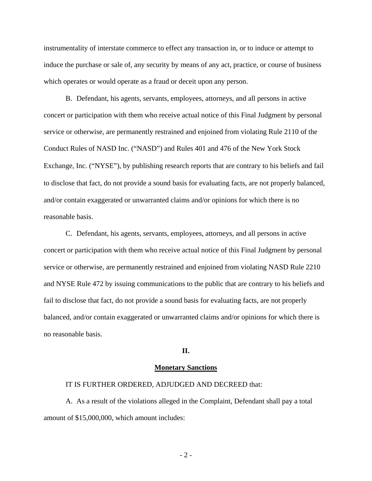instrumentality of interstate commerce to effect any transaction in, or to induce or attempt to induce the purchase or sale of, any security by means of any act, practice, or course of business which operates or would operate as a fraud or deceit upon any person.

B. Defendant, his agents, servants, employees, attorneys, and all persons in active concert or participation with them who receive actual notice of this Final Judgment by personal service or otherwise, are permanently restrained and enjoined from violating Rule 2110 of the Conduct Rules of NASD Inc. ("NASD") and Rules 401 and 476 of the New York Stock Exchange, Inc. ("NYSE"), by publishing research reports that are contrary to his beliefs and fail to disclose that fact, do not provide a sound basis for evaluating facts, are not properly balanced, and/or contain exaggerated or unwarranted claims and/or opinions for which there is no reasonable basis.

C. Defendant, his agents, servants, employees, attorneys, and all persons in active concert or participation with them who receive actual notice of this Final Judgment by personal service or otherwise, are permanently restrained and enjoined from violating NASD Rule 2210 and NYSE Rule 472 by issuing communications to the public that are contrary to his beliefs and fail to disclose that fact, do not provide a sound basis for evaluating facts, are not properly balanced, and/or contain exaggerated or unwarranted claims and/or opinions for which there is no reasonable basis.

### **II.**

#### **Monetary Sanctions**

### IT IS FURTHER ORDERED, ADJUDGED AND DECREED that:

A. As a result of the violations alleged in the Complaint, Defendant shall pay a total amount of \$15,000,000, which amount includes:

- 2 -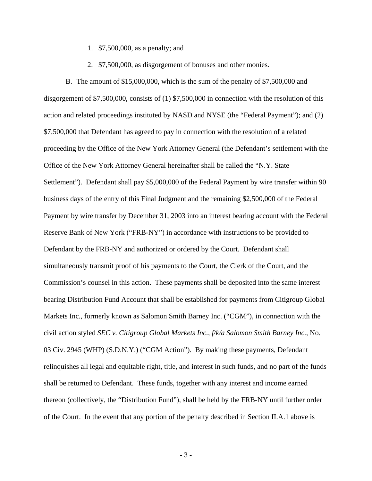- 1. \$7,500,000, as a penalty; and
- 2. \$7,500,000, as disgorgement of bonuses and other monies.

B. The amount of \$15,000,000, which is the sum of the penalty of \$7,500,000 and disgorgement of \$7,500,000, consists of (1) \$7,500,000 in connection with the resolution of this action and related proceedings instituted by NASD and NYSE (the "Federal Payment"); and (2) \$7,500,000 that Defendant has agreed to pay in connection with the resolution of a related proceeding by the Office of the New York Attorney General (the Defendant's settlement with the Office of the New York Attorney General hereinafter shall be called the "N.Y. State Settlement"). Defendant shall pay \$5,000,000 of the Federal Payment by wire transfer within 90 business days of the entry of this Final Judgment and the remaining \$2,500,000 of the Federal Payment by wire transfer by December 31, 2003 into an interest bearing account with the Federal Reserve Bank of New York ("FRB-NY") in accordance with instructions to be provided to Defendant by the FRB-NY and authorized or ordered by the Court. Defendant shall simultaneously transmit proof of his payments to the Court, the Clerk of the Court, and the Commission's counsel in this action. These payments shall be deposited into the same interest bearing Distribution Fund Account that shall be established for payments from Citigroup Global Markets Inc., formerly known as Salomon Smith Barney Inc. ("CGM"), in connection with the civil action styled *SEC v. Citigroup Global Markets Inc., f/k/a Salomon Smith Barney Inc.*, No. 03 Civ. 2945 (WHP) (S.D.N.Y.) ("CGM Action"). By making these payments, Defendant relinquishes all legal and equitable right, title, and interest in such funds, and no part of the funds shall be returned to Defendant. These funds, together with any interest and income earned thereon (collectively, the "Distribution Fund"), shall be held by the FRB-NY until further order of the Court. In the event that any portion of the penalty described in Section II.A.1 above is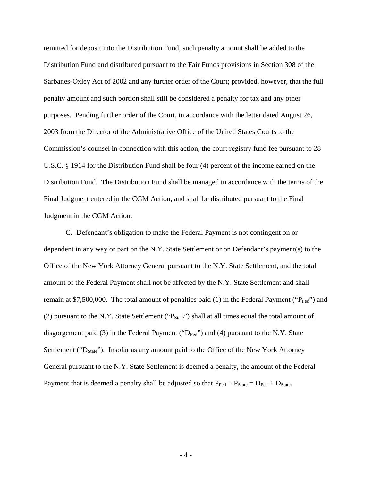remitted for deposit into the Distribution Fund, such penalty amount shall be added to the Distribution Fund and distributed pursuant to the Fair Funds provisions in Section 308 of the Sarbanes-Oxley Act of 2002 and any further order of the Court; provided, however, that the full penalty amount and such portion shall still be considered a penalty for tax and any other purposes. Pending further order of the Court, in accordance with the letter dated August 26, 2003 from the Director of the Administrative Office of the United States Courts to the Commission's counsel in connection with this action, the court registry fund fee pursuant to 28 U.S.C. § 1914 for the Distribution Fund shall be four (4) percent of the income earned on the Distribution Fund. The Distribution Fund shall be managed in accordance with the terms of the Final Judgment entered in the CGM Action, and shall be distributed pursuant to the Final Judgment in the CGM Action.

C. Defendant's obligation to make the Federal Payment is not contingent on or dependent in any way or part on the N.Y. State Settlement or on Defendant's payment(s) to the Office of the New York Attorney General pursuant to the N.Y. State Settlement, and the total amount of the Federal Payment shall not be affected by the N.Y. State Settlement and shall remain at \$7,500,000. The total amount of penalties paid (1) in the Federal Payment (" $P_{\text{Fed}}$ ") and (2) pursuant to the N.Y. State Settlement (" $P_{State}$ ") shall at all times equal the total amount of disgorgement paid (3) in the Federal Payment (" $D_{\text{Fed}}$ ") and (4) pursuant to the N.Y. State Settlement (" $D_{State}$ "). Insofar as any amount paid to the Office of the New York Attorney General pursuant to the N.Y. State Settlement is deemed a penalty, the amount of the Federal Payment that is deemed a penalty shall be adjusted so that  $P_{\text{Fed}} + P_{\text{State}} = D_{\text{Fed}} + D_{\text{State}}$ .

- 4 -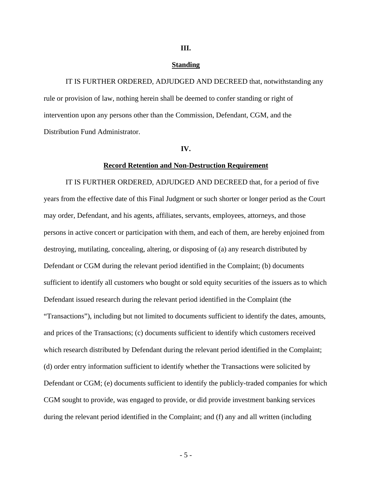### **III.**

#### **Standing**

IT IS FURTHER ORDERED, ADJUDGED AND DECREED that, notwithstanding any rule or provision of law, nothing herein shall be deemed to confer standing or right of intervention upon any persons other than the Commission, Defendant, CGM, and the Distribution Fund Administrator.

#### **IV.**

#### **Record Retention and Non-Destruction Requirement**

IT IS FURTHER ORDERED, ADJUDGED AND DECREED that, for a period of five years from the effective date of this Final Judgment or such shorter or longer period as the Court may order, Defendant, and his agents, affiliates, servants, employees, attorneys, and those persons in active concert or participation with them, and each of them, are hereby enjoined from destroying, mutilating, concealing, altering, or disposing of (a) any research distributed by Defendant or CGM during the relevant period identified in the Complaint; (b) documents sufficient to identify all customers who bought or sold equity securities of the issuers as to which Defendant issued research during the relevant period identified in the Complaint (the "Transactions"), including but not limited to documents sufficient to identify the dates, amounts, and prices of the Transactions; (c) documents sufficient to identify which customers received which research distributed by Defendant during the relevant period identified in the Complaint; (d) order entry information sufficient to identify whether the Transactions were solicited by Defendant or CGM; (e) documents sufficient to identify the publicly-traded companies for which CGM sought to provide, was engaged to provide, or did provide investment banking services during the relevant period identified in the Complaint; and (f) any and all written (including